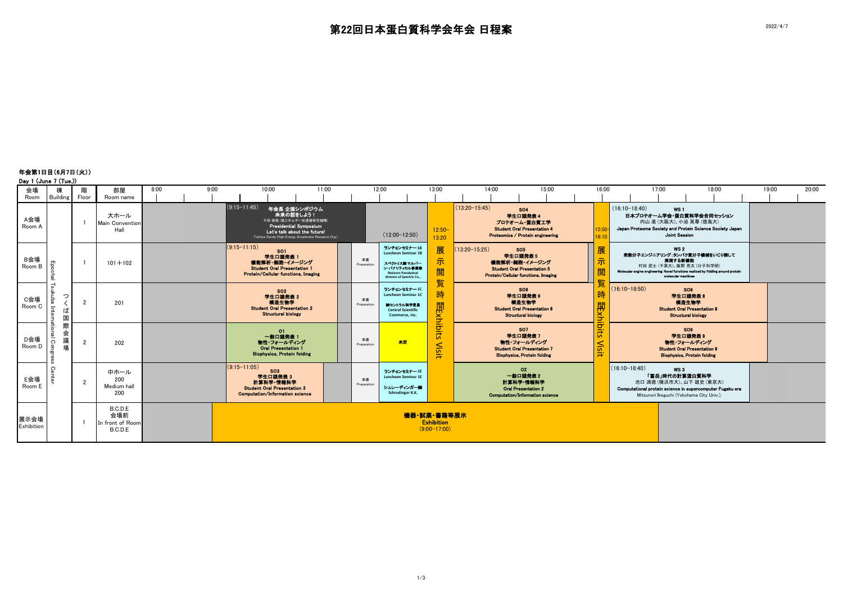年会第1日目(6月7日(火)) Day 1 (June 7 (Tue.))

| $Day \cup \text{Gumb} \cup \text{Gub}.$ |                                                 |                |                                               |              |  |                                                                                                                                                                                                |                 |                   |                                                                                                                                     |                                                                                                                                      |                 |                                                                                                                       |                |                                               |                                                                                                                                                    |       |                                                                                                                                                                                                 |       |       |       |
|-----------------------------------------|-------------------------------------------------|----------------|-----------------------------------------------|--------------|--|------------------------------------------------------------------------------------------------------------------------------------------------------------------------------------------------|-----------------|-------------------|-------------------------------------------------------------------------------------------------------------------------------------|--------------------------------------------------------------------------------------------------------------------------------------|-----------------|-----------------------------------------------------------------------------------------------------------------------|----------------|-----------------------------------------------|----------------------------------------------------------------------------------------------------------------------------------------------------|-------|-------------------------------------------------------------------------------------------------------------------------------------------------------------------------------------------------|-------|-------|-------|
| 会場                                      | 棟                                               | 階              | 部屋                                            | 8:00<br>9:00 |  | 10:00                                                                                                                                                                                          | 11:00           |                   | 12:00                                                                                                                               | 13:00                                                                                                                                | 14:00           |                                                                                                                       | 15:00          | 16:00                                         |                                                                                                                                                    | 17:00 |                                                                                                                                                                                                 | 18:00 | 19:00 | 20:00 |
| Room                                    | Building                                        | Floor          | Room name                                     |              |  |                                                                                                                                                                                                |                 |                   |                                                                                                                                     |                                                                                                                                      |                 |                                                                                                                       |                |                                               |                                                                                                                                                    |       |                                                                                                                                                                                                 |       |       |       |
| A会場<br>Room A                           |                                                 |                | 大ホール<br><b>Main Convention</b><br>Hall        |              |  | $(9:15-11:45)$<br>年会長 企画シンポジウム<br>未来の話をしよう!<br>千田 俊哉 (高エネルギー加速器研究機構)<br><b>Presidential Symposium</b><br>Let's talk about the future!<br>Toshiya Senda (High Energy Accelerator Research Org.) | $(12:00-12:50)$ |                   | $12:50-$<br>13:20                                                                                                                   | $(13:20 - 15:45)$<br><b>SO4</b><br>学生口頭発表4<br>プロテオーム・蛋白質工学<br><b>Student Oral Presentation 4</b><br>Proteomics / Protein engineering |                 |                                                                                                                       | 15:50<br>16:10 | $(16:10-18:40)$                               | WS <sub>1</sub><br>日本プロテオーム学会・蛋白質科学会合同セッション<br>内山 進 (大阪大)、小迫 英尊 (徳島大)<br>Japan Proteome Society and Protein Science Society Japan<br>Joint Session |       |                                                                                                                                                                                                 |       |       |       |
| B会場<br>Room B                           | Ĥ<br>힐                                          |                | $101 + 102$                                   |              |  | $(9:15 - 11:15)$<br>SO <sub>1</sub><br>学生口童発表 1<br>機能解析・細胞・イメージング<br><b>Student Oral Presentation 1</b><br><b>Protein/Cellular functions, Imaging</b>                                          |                 | 準備<br>Preparation | ランチョンセミナー18<br><b>Luncheon Seminar 1B</b><br>スペクトリス酸マルバー<br>ン・パナリティカル事業部<br><b>Malvern Panalytical</b><br>division of Spectris Co., | 展<br>示<br>閲                                                                                                                          | $13:20 - 15:25$ | <b>SO5</b><br>学生口题発表 5<br>機能解析・細胞・イメージング<br><b>Student Oral Presentation 5</b><br>Protein/Cellular functions, Imaging |                | 展<br>示                                        |                                                                                                                                                    |       | <b>WS 2</b><br>発動分子エンジニアリング:タンパク質分子機械をいじり倒して<br>実現する新機能<br>村田 武士 (千葉大)、飯野 亮太 (分子科学研)<br>Molecular engine engineering: Novel functions realized by fiddling around protein<br>molecular machines |       |       |       |
| C会場<br>Room C                           | $\overline{\phantom{0}}$<br>っ<br>Ξ.<br>I d<br>国 | $\overline{2}$ | 201                                           |              |  | <b>SO2</b><br>学生口頭発表 2<br>構造生物学<br><b>Student Oral Presentation 2</b><br><b>Structural biology</b>                                                                                             |                 | 準備<br>Preparation | ランチョンセミナー10<br><b>Luncheon Seminar 1C</b><br>働セントラル科学支援<br><b>Central Scientific</b><br>Commerce, inc.                              | 覧<br>時                                                                                                                               |                 | SO <sub>6</sub><br>学生口頭発表<br>機造生物学<br><b>Student Oral Presentation 6</b><br><b>Structural biology</b>                 |                | 時<br>日日<br>闻<br>三                             | $(16:10-18:50)$                                                                                                                                    |       | SO <sub>8</sub><br>学生口頭発表8<br>横造生物学<br><b>Student Oral Presentation 8</b><br><b>Structural biology</b>                                                                                          |       |       |       |
| D会場<br>Room D                           | 際<br>会<br>Сo<br>場                               | $\overline{2}$ | 202                                           |              |  | O1<br>一般口頭発表 1<br>物性・フォールディング<br><b>Oral Presentation 1</b><br><b>Biophysics, Protein folding</b>                                                                                              |                 | 準備<br>Preparation | 未定                                                                                                                                  | Visit                                                                                                                                |                 | <b>SO7</b><br>学生口题発表 7<br>物性・フォールディング<br><b>Student Oral Presentation 7</b><br><b>Biophysics, Protein folding</b>     |                | $\sigma$<br>हैं<br><b>N<sub>is</sub></b><br>₩ |                                                                                                                                                    |       | SO <sub>9</sub><br>学生口頭発表9<br>物性・フォールディング<br><b>Student Oral Presentation 9</b><br><b>Biophysics, Protein folding</b>                                                                           |       |       |       |
| E会場<br>Room E                           | C                                               | $\overline{2}$ | 中ホール<br>200<br>Medium hal<br>200              |              |  | $(9:15-11:05)$<br>SO <sub>3</sub><br>学生口题発表 3<br>計算科学・情報科学<br><b>Student Oral Presentation 3</b><br><b>Computation/Information science</b>                                                     |                 | 準備<br>Preparation | ランチョンセミナー1E<br>Luncheon Seminar 1E<br>シュレーティンガー側<br>Schrodinger K.K.                                                                |                                                                                                                                      |                 | O2<br>一般口頭発表2<br>計算科学・情報科学<br><b>Oral Presentation 2</b><br>Computation/Information science                           |                |                                               | $(16:10-18:40)$                                                                                                                                    |       | WS3<br>「富岳」時代の計算蛋白質科学<br>池口 満徳 (構浜市大)、山下 雄史 (東京大)<br>Computational protein science in supercomputer Fugaku era<br>Mitsunori Ikeguchi (Yokohama City Univ.),                                     |       |       |       |
| 展示会場<br>Exhibition                      |                                                 | $\overline{1}$ | B.C.D.E<br>会場前<br>In front of Room<br>B.C.D.E |              |  | 機器·試薬·書籍等展示<br><b>Exhibition</b><br>$(9:00-17:00)$                                                                                                                                             |                 |                   |                                                                                                                                     |                                                                                                                                      |                 |                                                                                                                       |                |                                               |                                                                                                                                                    |       |                                                                                                                                                                                                 |       |       |       |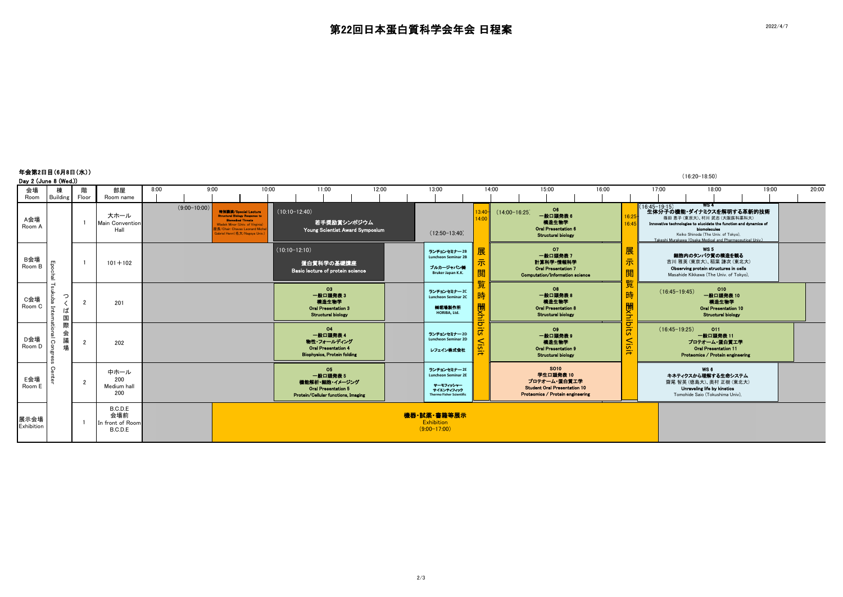|                    | 年会第2日目(6月8日(水))<br>$(16:20-18:50)$<br>Day 2 (June 8 (Wed.)) |                |                                               |      |                |                                                                                                                                                                   |                               |                 |                                                                                                             |  |       |  |                                                                                                         |                                       |                 |                                                                                                              |       |                                                 |                                                    |                                                             |                                                                                                                                                               |       |       |
|--------------------|-------------------------------------------------------------|----------------|-----------------------------------------------|------|----------------|-------------------------------------------------------------------------------------------------------------------------------------------------------------------|-------------------------------|-----------------|-------------------------------------------------------------------------------------------------------------|--|-------|--|---------------------------------------------------------------------------------------------------------|---------------------------------------|-----------------|--------------------------------------------------------------------------------------------------------------|-------|-------------------------------------------------|----------------------------------------------------|-------------------------------------------------------------|---------------------------------------------------------------------------------------------------------------------------------------------------------------|-------|-------|
| 会場<br>Room         | 榵<br>Building                                               | Floor          | 部屋<br>Room name                               | 8:00 |                | 9:00                                                                                                                                                              | 10:00                         |                 | 11:00                                                                                                       |  | 12:00 |  | 13:00                                                                                                   |                                       | 14:00           | 15:00                                                                                                        | 16:00 |                                                 | 17:00                                              |                                                             | 18:00                                                                                                                                                         | 19:00 | 20:00 |
| A会場<br>Room A      |                                                             |                | 大ホール<br><b>Main Convention</b><br>Hall        |      | $(9:00-10:00)$ | 特別講演/Special Lecture<br><b>Structural Biology Response to</b><br><b>Blomedical Threats</b><br>Wladek Minor (Univ. of Virginia)<br>を長/Chair: Chavas Leonard Michel | sbriel Henri(名大/Nagova Univ.) |                 | $(10:10-12:40)$<br>若手奨励賞シンポジウム<br>Young Scientist Award Symposium                                           |  |       |  | $(12:50-13:40)$                                                                                         | $13:40-$<br>14:00                     | $(14:00-16:25)$ | O6<br>一般口頭発表6<br>横造生物学<br><b>Oral Presentation 6</b><br><b>Structural biology</b>                            |       | 16:25<br>16:45                                  | (16:45-19:15) - WS 4<br>- 生体分子の機能・ダイナミクスを解明する革新的技術 | WS 4<br>biomolecules<br>Keiko Shinoda (The Univ, of Tokyo), | 篠田 恵子 (東京大)、村川 武志 (大阪医科薬科大)<br>Innovative technologies to elucidate the function and dynamics of<br>Takeshi Murakawa (Osaka Medical and Pharmaceutical Univ.) |       |       |
| B会場<br>Room B      | Epoc<br>큷                                                   |                | $101 + 102$                                   |      |                |                                                                                                                                                                   |                               | $(10:10-12:10)$ | 蛋白質科学の基礎講座<br>Basic lecture of protein science                                                              |  |       |  | ランチョンセミナー2B<br><b>Luncheon Seminar 2B</b><br>ブルカージャパン側<br>Bruker Japan K.K.                             | 屝                                     |                 | 07<br>一般口頭発表7<br>計算科学·情報科学<br><b>Oral Presentation 7</b><br>Computation/Information science                  |       | 展<br>示<br><b>BB</b><br>说<br>臣仁                  |                                                    | <b>WS 5</b>                                                 | 細胞内のタンパク質の構造を観る<br>吉川 雅英 (東京大)、稲葉 謙次 (東北大)<br>Observing protein structures in cells<br>Masahide Kikkawa (The Univ. of Tokyo),                                 |       |       |
| C会場<br>Room C      | ۳<br>co<br>ukuba<br>っ<br>$\overline{5}$<br>ば<br>国           | $\overline{2}$ | 201                                           |      |                |                                                                                                                                                                   |                               |                 | O3<br>一般口頭発表3<br>横造生物学<br><b>Oral Presentation 3</b><br><b>Structural biology</b>                           |  |       |  | ランチョンセミナー20<br><b>Luncheon Seminar 2C</b><br><b>销售場製作所</b><br>HORIBA, Ltd.                              | 時<br>関<br>ia:<br>Bi                   |                 | O8<br>一般口頭発表8<br>横造生物学<br><b>Oral Presentation 8</b><br><b>Structural biology</b>                            |       | 時<br>関子                                         | $(16:45-19:45)$                                    |                                                             | 010<br>一般口頭発表 10<br>横造生物学<br><b>Oral Presentation 10</b><br><b>Structural biology</b>                                                                         |       |       |
| D会場<br>Room D      | 際<br>ă<br>会<br>onal Con<br>議<br>場                           | $\overline{2}$ | 202                                           |      |                |                                                                                                                                                                   |                               |                 | 04<br>一般口頭発表4<br>物性・フォールディング<br><b>Oral Presentation 4</b><br><b>Biophysics, Protein folding</b>            |  |       |  | ランチョンセミナー 2D<br><b>Luncheon Seminar 2D</b><br>レフェイン株式会社                                                 | $\overline{\phantom{0}}$<br>in.<br>ΞË |                 | O <sub>9</sub><br>一般口頭発表9<br>模造生物学<br><b>Oral Presentation 9</b><br><b>Structural biology</b>                |       | $\vec{\sigma}$<br>$\frac{1}{5}$<br><b>Visit</b> | $(16:45-19:25)$                                    |                                                             | O11<br>一般口頭発表 11<br>プロテオーム・蛋白質工学<br><b>Oral Presentation 11</b><br>Proteomics / Protein engineering                                                           |       |       |
| E会場<br>Room E      | $\circ$                                                     | $\overline{2}$ | 中ホール<br>200<br>Medium hall<br>200             |      |                |                                                                                                                                                                   |                               |                 | <b>O5</b><br>一般口頭発表5<br>機能解析・細胞・イメージング<br><b>Oral Presentation 5</b><br>Protein/Cellular functions. Imaging |  |       |  | ランチョンセミナー2E<br><b>Luncheon Seminar 2E</b><br>ナーモフィッシャー<br>サイエンティフィック<br><b>Thermo Fisher Scientific</b> |                                       |                 | SO10<br>学生口頭発表 10<br>プロテオーム・蛋白質工学<br><b>Student Oral Presentation 10</b><br>Proteomics / Protein engineering |       |                                                 |                                                    | WS6<br>Unraveling life by kinetics                          | キネティクスから理解する生命システム<br>齋尾智英(德島大)、奥村正樹(東北大)<br>Tomohide Saio (Tokushima Univ).                                                                                  |       |       |
| 展示会場<br>Exhibition |                                                             |                | B.C.D.E<br>会場前<br>In front of Room<br>B.C.D.E |      |                |                                                                                                                                                                   |                               |                 |                                                                                                             |  |       |  | 機器·試薬·書籍等展示<br>Exhibition<br>$(9:00-17:00)$                                                             |                                       |                 |                                                                                                              |       |                                                 |                                                    |                                                             |                                                                                                                                                               |       |       |

2/3